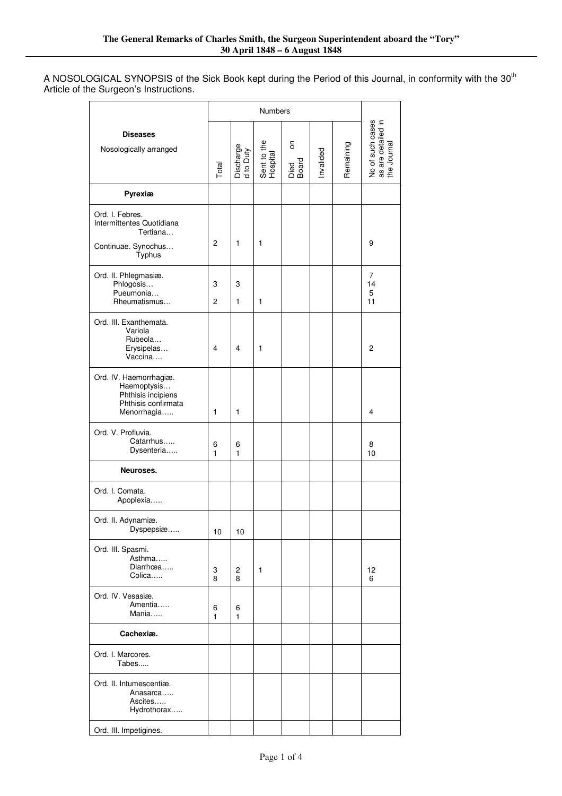A NOSOLOGICAL SYNOPSIS of the Sick Book kept during the Period of this Journal, in conformity with the 30<sup>th</sup> Article of the Surgeon's Instructions.

|                                                                                                   | <b>Numbers</b> |                        |                         |                    |          |           |                                                       |
|---------------------------------------------------------------------------------------------------|----------------|------------------------|-------------------------|--------------------|----------|-----------|-------------------------------------------------------|
| <b>Diseases</b><br>Nosologically arranged                                                         | Total          | Discharge<br>d to Duty | Sent to the<br>Hospital | δ<br>Died<br>Board | nvalided | Remaining | No of such cases<br>as are detailed in<br>the Journal |
| Pyrexiæ                                                                                           |                |                        |                         |                    |          |           |                                                       |
| Ord. I. Febres.<br>Intermittentes Quotidiana<br>Tertiana<br>Continuae. Synochus<br>Typhus         | 2              | 1                      | 1                       |                    |          |           | 9                                                     |
| Ord. II. Phlegmasiæ.<br>Phlogosis<br>Pueumonia<br>Rheumatismus                                    | 3<br>2         | 3<br>1                 | 1                       |                    |          |           | 7<br>14<br>5<br>11                                    |
| Ord. III. Exanthemata.<br>Variola<br>Rubeola<br>Erysipelas<br>Vaccina                             | 4              | 4                      | 1                       |                    |          |           | 2                                                     |
| Ord. IV. Haemorrhagiæ.<br>Haemoptysis<br>Phthisis incipiens<br>Phthisis confirmata<br>Menorrhagia | 1              | 1                      |                         |                    |          |           | 4                                                     |
| Ord. V. Profluvia.<br>Catarrhus<br>Dysenteria                                                     | 6<br>1         | 6<br>1                 |                         |                    |          |           | 8<br>10                                               |
| Neuroses.                                                                                         |                |                        |                         |                    |          |           |                                                       |
| Ord. I. Comata.<br>Apoplexia                                                                      |                |                        |                         |                    |          |           |                                                       |
| Ord. II. Adynamiæ.<br>Dyspepsiæ                                                                   | 10             | 10                     |                         |                    |          |           |                                                       |
| Ord. III. Spasmi.<br>Asthma<br>Diarrhœa<br>Colica                                                 | 3<br>8         | 2<br>8                 | 1                       |                    |          |           | 12<br>6                                               |
| Ord. IV. Vesasiæ.<br>Amentia<br>Mania                                                             | 6<br>1         | 6<br>1                 |                         |                    |          |           |                                                       |
| Cachexiæ.                                                                                         |                |                        |                         |                    |          |           |                                                       |
| Ord. I. Marcores.<br>Tabes                                                                        |                |                        |                         |                    |          |           |                                                       |
| Ord. II. Intumescentiæ.<br>Anasarca<br>Ascites<br>Hydrothorax                                     |                |                        |                         |                    |          |           |                                                       |
| Ord. III. Impetigines.                                                                            |                |                        |                         |                    |          |           |                                                       |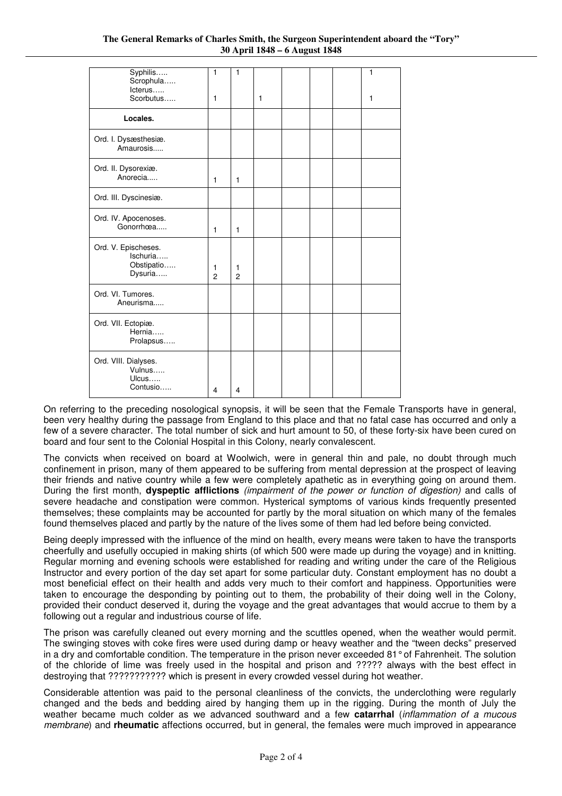| Syphilis<br>Scrophula<br>lcterus                         | 1                   | 1                   |   |  | 1            |
|----------------------------------------------------------|---------------------|---------------------|---|--|--------------|
| Scorbutus                                                | $\mathbf{1}$        |                     | 1 |  | $\mathbf{1}$ |
| Locales.                                                 |                     |                     |   |  |              |
| Ord. I. Dysæsthesiæ.<br>Amaurosis                        |                     |                     |   |  |              |
| Ord. II. Dysorexiæ.<br>Anorecia                          | $\mathbf{1}$        | $\mathbf{1}$        |   |  |              |
| Ord. III. Dyscinesiæ.                                    |                     |                     |   |  |              |
| Ord. IV. Apocenoses.<br>Gonorrhœa                        | 1                   | $\mathbf{1}$        |   |  |              |
| Ord. V. Epischeses.<br>Ischuria<br>Obstipatio<br>Dysuria | 1<br>$\overline{c}$ | 1<br>$\mathfrak{p}$ |   |  |              |
| Ord. VI. Tumores.<br>Aneurisma                           |                     |                     |   |  |              |
| Ord. VII. Ectopiæ.<br>Hernia<br>Prolapsus                |                     |                     |   |  |              |
| Ord. VIII. Dialyses.<br>Vulnus<br>Ulcus<br>Contusio      | $\overline{4}$      | 4                   |   |  |              |

On referring to the preceding nosological synopsis, it will be seen that the Female Transports have in general, been very healthy during the passage from England to this place and that no fatal case has occurred and only a few of a severe character. The total number of sick and hurt amount to 50, of these forty-six have been cured on board and four sent to the Colonial Hospital in this Colony, nearly convalescent.

The convicts when received on board at Woolwich, were in general thin and pale, no doubt through much confinement in prison, many of them appeared to be suffering from mental depression at the prospect of leaving their friends and native country while a few were completely apathetic as in everything going on around them. During the first month, **dyspeptic afflictions** (impairment of the power or function of digestion) and calls of severe headache and constipation were common. Hysterical symptoms of various kinds frequently presented themselves; these complaints may be accounted for partly by the moral situation on which many of the females found themselves placed and partly by the nature of the lives some of them had led before being convicted.

Being deeply impressed with the influence of the mind on health, every means were taken to have the transports cheerfully and usefully occupied in making shirts (of which 500 were made up during the voyage) and in knitting. Regular morning and evening schools were established for reading and writing under the care of the Religious Instructor and every portion of the day set apart for some particular duty. Constant employment has no doubt a most beneficial effect on their health and adds very much to their comfort and happiness. Opportunities were taken to encourage the desponding by pointing out to them, the probability of their doing well in the Colony, provided their conduct deserved it, during the voyage and the great advantages that would accrue to them by a following out a regular and industrious course of life.

The prison was carefully cleaned out every morning and the scuttles opened, when the weather would permit. The swinging stoves with coke fires were used during damp or heavy weather and the "tween decks" preserved in a dry and comfortable condition. The temperature in the prison never exceeded 81° of Fahrenheit. The solution of the chloride of lime was freely used in the hospital and prison and ????? always with the best effect in destroying that ??????????? which is present in every crowded vessel during hot weather.

Considerable attention was paid to the personal cleanliness of the convicts, the underclothing were regularly changed and the beds and bedding aired by hanging them up in the rigging. During the month of July the weather became much colder as we advanced southward and a few **catarrhal** (inflammation of a mucous membrane) and **rheumatic** affections occurred, but in general, the females were much improved in appearance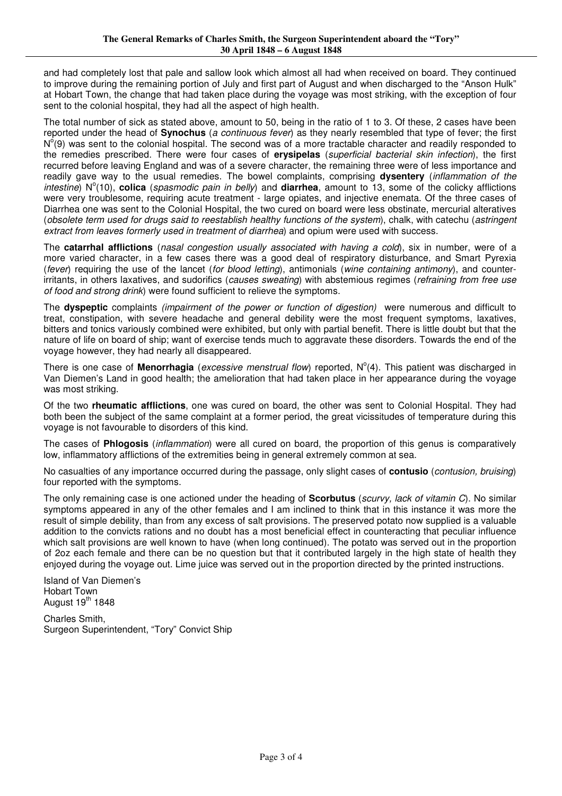and had completely lost that pale and sallow look which almost all had when received on board. They continued to improve during the remaining portion of July and first part of August and when discharged to the "Anson Hulk" at Hobart Town, the change that had taken place during the voyage was most striking, with the exception of four sent to the colonial hospital, they had all the aspect of high health.

The total number of sick as stated above, amount to 50, being in the ratio of 1 to 3. Of these, 2 cases have been reported under the head of **Synochus** (a continuous fever) as they nearly resembled that type of fever; the first  $N^{o}(9)$  was sent to the colonial hospital. The second was of a more tractable character and readily responded to the remedies prescribed. There were four cases of **erysipelas** (superficial bacterial skin infection), the first recurred before leaving England and was of a severe character, the remaining three were of less importance and readily gave way to the usual remedies. The bowel complaints, comprising **dysentery** (inflammation of the intestine) N°(10), **colica** (spasmodic pain in belly) and **diarrhea**, amount to 13, some of the colicky afflictions were very troublesome, requiring acute treatment - large opiates, and injective enemata. Of the three cases of Diarrhea one was sent to the Colonial Hospital, the two cured on board were less obstinate, mercurial alteratives (obsolete term used for drugs said to reestablish healthy functions of the system), chalk, with catechu (astringent extract from leaves formerly used in treatment of diarrhea) and opium were used with success.

The **catarrhal afflictions** (nasal congestion usually associated with having a cold), six in number, were of a more varied character, in a few cases there was a good deal of respiratory disturbance, and Smart Pyrexia (fever) requiring the use of the lancet (for blood letting), antimonials (wine containing antimony), and counterirritants, in others laxatives, and sudorifics (causes sweating) with abstemious regimes (refraining from free use of food and strong drink) were found sufficient to relieve the symptoms.

The **dyspeptic** complaints (impairment of the power or function of digestion) were numerous and difficult to treat, constipation, with severe headache and general debility were the most frequent symptoms, laxatives, bitters and tonics variously combined were exhibited, but only with partial benefit. There is little doubt but that the nature of life on board of ship; want of exercise tends much to aggravate these disorders. Towards the end of the voyage however, they had nearly all disappeared.

There is one case of **Menorrhagia** (excessive menstrual flow) reported, N°(4). This patient was discharged in Van Diemen's Land in good health; the amelioration that had taken place in her appearance during the voyage was most striking.

Of the two **rheumatic afflictions**, one was cured on board, the other was sent to Colonial Hospital. They had both been the subject of the same complaint at a former period, the great vicissitudes of temperature during this voyage is not favourable to disorders of this kind.

The cases of **Phlogosis** (inflammation) were all cured on board, the proportion of this genus is comparatively low, inflammatory afflictions of the extremities being in general extremely common at sea.

No casualties of any importance occurred during the passage, only slight cases of **contusio** (contusion, bruising) four reported with the symptoms.

The only remaining case is one actioned under the heading of **Scorbutus** (scurvy, lack of vitamin C). No similar symptoms appeared in any of the other females and I am inclined to think that in this instance it was more the result of simple debility, than from any excess of salt provisions. The preserved potato now supplied is a valuable addition to the convicts rations and no doubt has a most beneficial effect in counteracting that peculiar influence which salt provisions are well known to have (when long continued). The potato was served out in the proportion of 2oz each female and there can be no question but that it contributed largely in the high state of health they enjoyed during the voyage out. Lime juice was served out in the proportion directed by the printed instructions.

Island of Van Diemen's Hobart Town August  $19<sup>th</sup>$  1848

Charles Smith, Surgeon Superintendent, "Tory" Convict Ship